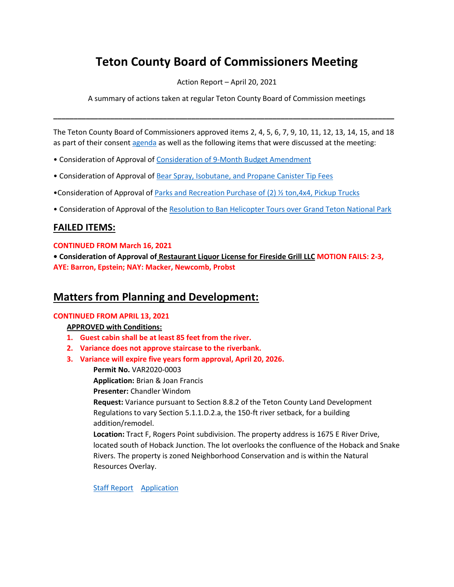# **Teton County Board of Commissioners Meeting**

Action Report – April 20, 2021

A summary of actions taken at regular Teton County Board of Commission meetings

The Teton County Board of Commissioners approved items 2, 4, 5, 6, 7, 9, 10, 11, 12, 13, 14, 15, and 18 as part of their consen[t agenda](http://tetoncountywy.gov/AgendaCenter/ViewFile/Agenda/_04202021-1651) as well as the following items that were discussed at the meeting:

**\_\_\_\_\_\_\_\_\_\_\_\_\_\_\_\_\_\_\_\_\_\_\_\_\_\_\_\_\_\_\_\_\_\_\_\_\_\_\_\_\_\_\_\_\_\_\_\_\_\_\_\_\_\_\_\_\_\_\_\_\_\_\_\_\_\_\_\_\_\_\_\_\_\_\_\_\_\_\_\_\_\_\_\_**

- Consideration of Approval of [Consideration of 9-Month Budget Amendment](https://www.tetoncountywy.gov/DocumentCenter/View/18069/04201-9-Month-Budget-Amendment)
- Consideration of Approval of [Bear Spray, Isobutane, and Propane Canister Tip Fees](https://www.tetoncountywy.gov/DocumentCenter/View/18071/04203-Canister-Tip-Fees)
- •Consideration of Approval of [Parks and Recreation Purchase of \(2\)](https://www.tetoncountywy.gov/DocumentCenter/View/18075/04208-PRK_Half-Ton-pickup-staff-report) ½ ton,4x4, Pickup Trucks
- Consideration of Approval of the [Resolution to Ban Helicopter Tours over Grand Teton National Park](https://www.tetoncountywy.gov/DocumentCenter/View/18106/042017-Resolution-to-Ban-Helicopter-Tours-Over-GTNP-412)

# **FAILED ITEMS:**

## **CONTINUED FROM March 16, 2021**

**• Consideration of Approval of [Restaurant Liquor License for Fireside Grill LLC](https://www.tetoncountywy.gov/DocumentCenter/View/18108/03161-Fireside-Grill-Liquor-License) MOTION FAILS: 2-3, AYE: Barron, Epstein; NAY: Macker, Newcomb, Probst**

# **Matters from Planning and Development:**

## **CONTINUED FROM APRIL 13, 2021**

## **APPROVED with Conditions:**

- **1. Guest cabin shall be at least 85 feet from the river.**
- **2. Variance does not approve staircase to the riverbank.**
- **3. Variance will expire five years form approval, April 20, 2026.**
	- **Permit No.** VAR2020-0003

**Application:** Brian & Joan Francis

**Presenter:** Chandler Windom

**Request:** Variance pursuant to Section 8.8.2 of the Teton County Land Development Regulations to vary Section 5.1.1.D.2.a, the 150-ft river setback, for a building addition/remodel.

**Location:** Tract F, Rogers Point subdivision. The property address is 1675 E River Drive, located south of Hoback Junction. The lot overlooks the confluence of the Hoback and Snake Rivers. The property is zoned Neighborhood Conservation and is within the Natural Resources Overlay.

[Staff Report](https://www.tetoncountywy.gov/DocumentCenter/View/17948/VAR2020-0003-Packet-BCC041321) [Application](https://developmentrecords.tetoncountywy.gov/Portal/Planning/Status?planningId=20090)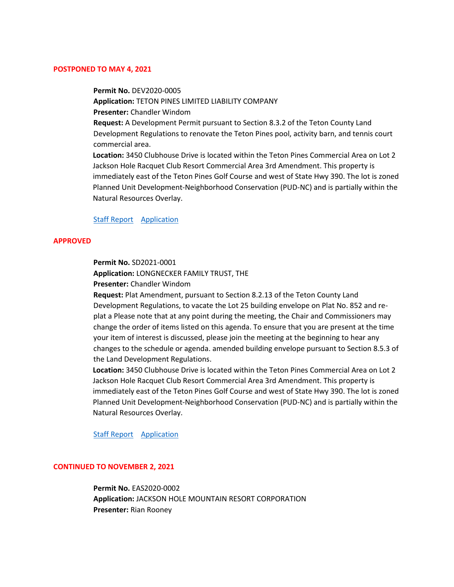#### **POSTPONED TO MAY 4, 2021**

**Permit No.** DEV2020-0005 **Application:** TETON PINES LIMITED LIABILITY COMPANY **Presenter:** Chandler Windom **Request:** A Development Permit pursuant to Section 8.3.2 of the Teton County Land Development Regulations to renovate the Teton Pines pool, activity barn, and tennis court commercial area. **Location:** 3450 Clubhouse Drive is located within the Teton Pines Commercial Area on Lot 2 Jackson Hole Racquet Club Resort Commercial Area 3rd Amendment. This property is

immediately east of the Teton Pines Golf Course and west of State Hwy 390. The lot is zoned Planned Unit Development-Neighborhood Conservation (PUD-NC) and is partially within the Natural Resources Overlay.

#### [Staff Report](https://www.tetoncountywy.gov/DocumentCenter/View/18085/DEV2020-0005-Postponment-Memo-BCC042021) [Application](https://developmentrecords.tetoncountywy.gov/Portal/Planning/Status?planningId=20418)

#### **APPROVED**

**Permit No.** SD2021-0001

**Application:** LONGNECKER FAMILY TRUST, THE

**Presenter:** Chandler Windom

**Request:** Plat Amendment, pursuant to Section 8.2.13 of the Teton County Land Development Regulations, to vacate the Lot 25 building envelope on Plat No. 852 and replat a Please note that at any point during the meeting, the Chair and Commissioners may change the order of items listed on this agenda. To ensure that you are present at the time your item of interest is discussed, please join the meeting at the beginning to hear any changes to the schedule or agenda. amended building envelope pursuant to Section 8.5.3 of the Land Development Regulations.

**Location:** 3450 Clubhouse Drive is located within the Teton Pines Commercial Area on Lot 2 Jackson Hole Racquet Club Resort Commercial Area 3rd Amendment. This property is immediately east of the Teton Pines Golf Course and west of State Hwy 390. The lot is zoned Planned Unit Development-Neighborhood Conservation (PUD-NC) and is partially within the Natural Resources Overlay.

[Staff Report Application](https://www.tetoncountywy.gov/DocumentCenter/View/18087/SD2021-0001-Packet-BCC042021) 

#### **CONTINUED TO NOVEMBER 2, 2021**

**Permit No.** EAS2020-0002 **Application:** JACKSON HOLE MOUNTAIN RESORT CORPORATION **Presenter:** Rian Rooney